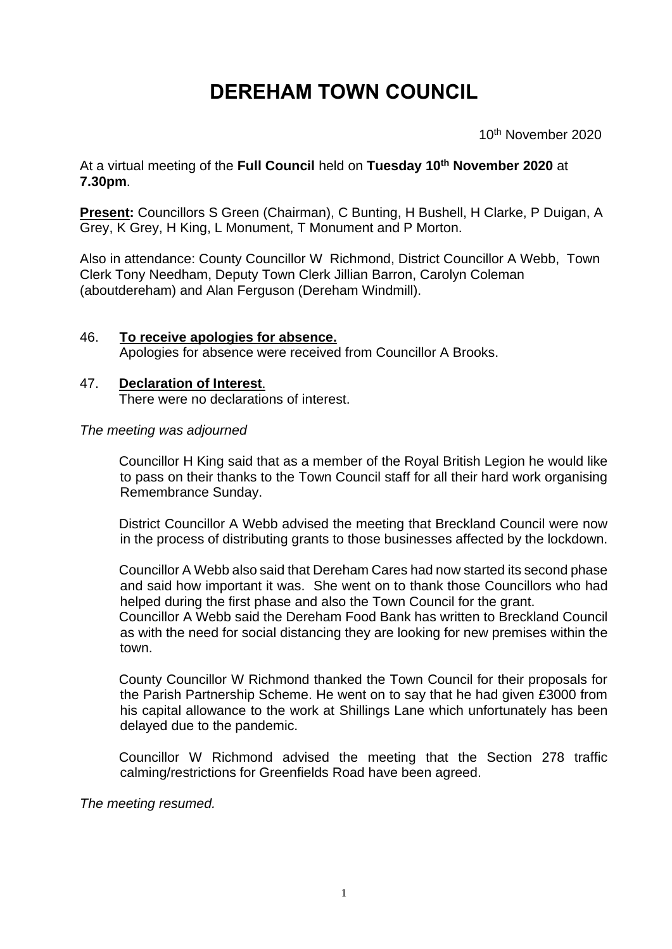# **DEREHAM TOWN COUNCIL**

 $10$ 10<sup>th</sup> November 2020

At a virtual meeting of the **Full Council** held on **Tuesday 10 th November 2020** at **7.30pm**.

**Present:** Councillors S Green (Chairman), C Bunting, H Bushell, H Clarke, P Duigan, A Grey, K Grey, H King, L Monument, T Monument and P Morton.

Also in attendance: County Councillor W Richmond, District Councillor A Webb, Town Clerk Tony Needham, Deputy Town Clerk Jillian Barron, Carolyn Coleman (aboutdereham) and Alan Ferguson (Dereham Windmill).

#### 46. **To receive apologies for absence.** Apologies for absence were received from Councillor A Brooks.

# 47. **Declaration of Interest**.

There were no declarations of interest.

# *The meeting was adjourned*

Councillor H King said that as a member of the Royal British Legion he would like to pass on their thanks to the Town Council staff for all their hard work organising Remembrance Sunday.

District Councillor A Webb advised the meeting that Breckland Council were now in the process of distributing grants to those businesses affected by the lockdown.

Councillor A Webb also said that Dereham Cares had now started its second phase and said how important it was. She went on to thank those Councillors who had helped during the first phase and also the Town Council for the grant.

Councillor A Webb said the Dereham Food Bank has written to Breckland Council as with the need for social distancing they are looking for new premises within the town.

County Councillor W Richmond thanked the Town Council for their proposals for the Parish Partnership Scheme. He went on to say that he had given £3000 from his capital allowance to the work at Shillings Lane which unfortunately has been delayed due to the pandemic.

Councillor W Richmond advised the meeting that the Section 278 traffic calming/restrictions for Greenfields Road have been agreed.

*The meeting resumed.*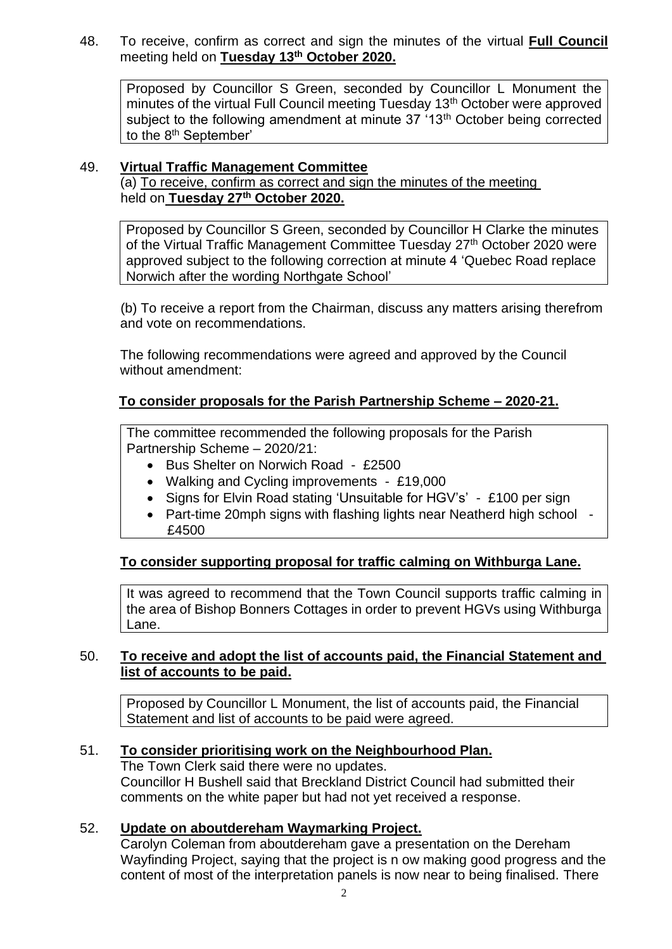48. To receive, confirm as correct and sign the minutes of the virtual **Full Council**  meeting held on **Tuesday 13th October 2020.**

Proposed by Councillor S Green, seconded by Councillor L Monument the minutes of the virtual Full Council meeting Tuesday 13<sup>th</sup> October were approved subject to the following amendment at minute 37 '13<sup>th</sup> October being corrected to the 8<sup>th</sup> September'

# 49. **Virtual Traffic Management Committee**

(a) To receive, confirm as correct and sign the minutes of the meeting held on **Tuesday 27th October 2020.**

Proposed by Councillor S Green, seconded by Councillor H Clarke the minutes of the Virtual Traffic Management Committee Tuesday 27<sup>th</sup> October 2020 were approved subject to the following correction at minute 4 'Quebec Road replace Norwich after the wording Northgate School'

(b) To receive a report from the Chairman, discuss any matters arising therefrom and vote on recommendations.

The following recommendations were agreed and approved by the Council without amendment:

# **To consider proposals for the Parish Partnership Scheme – 2020-21.**

The committee recommended the following proposals for the Parish Partnership Scheme – 2020/21:

- Bus Shelter on Norwich Road £2500
- Walking and Cycling improvements £19,000
- Signs for Elvin Road stating 'Unsuitable for HGV's' £100 per sign
- Part-time 20mph signs with flashing lights near Neatherd high school £4500

#### **To consider supporting proposal for traffic calming on Withburga Lane.**

It was agreed to recommend that the Town Council supports traffic calming in the area of Bishop Bonners Cottages in order to prevent HGVs using Withburga Lane.

# 50. **To receive and adopt the list of accounts paid, the Financial Statement and list of accounts to be paid.**

Proposed by Councillor L Monument, the list of accounts paid, the Financial Statement and list of accounts to be paid were agreed.

#### 51. **To consider prioritising work on the Neighbourhood Plan.**

The Town Clerk said there were no updates. Councillor H Bushell said that Breckland District Council had submitted their comments on the white paper but had not yet received a response.

#### 52. **Update on aboutdereham Waymarking Project.**

Carolyn Coleman from aboutdereham gave a presentation on the Dereham Wayfinding Project, saying that the project is n ow making good progress and the content of most of the interpretation panels is now near to being finalised. There